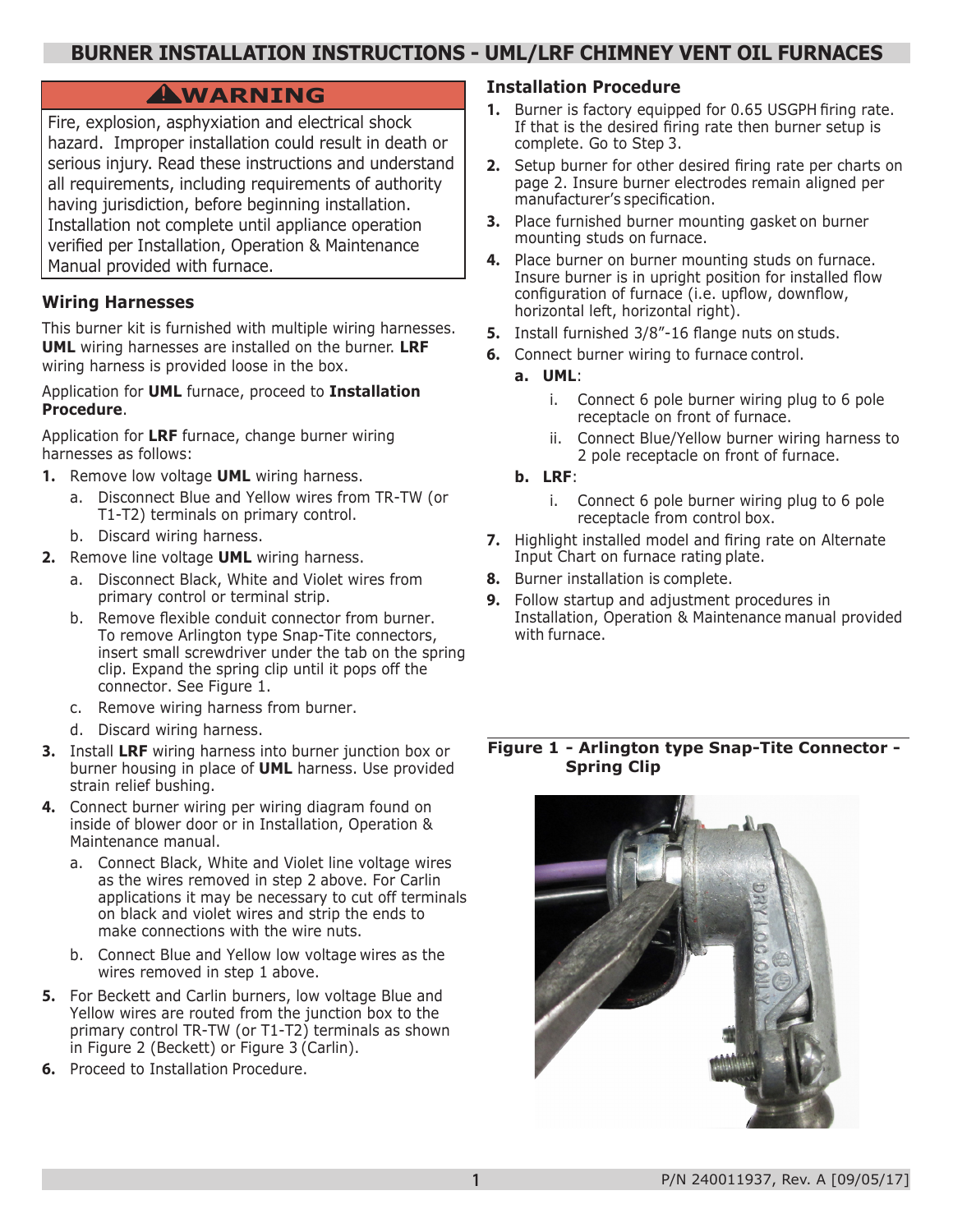# **BURNER INSTALLATION INSTRUCTIONS - UML/LRF CHIMNEY VENT OIL FURNACES**

# **WARNING !**

Fire, explosion, asphyxiation and electrical shock hazard. Improper installation could result in death or serious injury. Read these instructions and understand all requirements, including requirements of authority having jurisdiction, before beginning installation. Installation not complete until appliance operation verified per Installation, Operation & Maintenance Manual provided with furnace.

## **Wiring Harnesses**

This burner kit is furnished with multiple wiring harnesses. **UML** wiring harnesses are installed on the burner. **LRF** wiring harness is provided loose in the box.

#### Application for **UML** furnace, proceed to **Installation Procedure**.

Application for **LRF** furnace, change burner wiring harnesses as follows:

- **1.** Remove low voltage **UML** wiring harness.
	- a. Disconnect Blue and Yellow wires from TR-TW (or T1-T2) terminals on primary control.
	- b. Discard wiring harness.
- **2.** Remove line voltage **UML** wiring harness.
	- a. Disconnect Black, White and Violet wires from primary control or terminal strip.
	- b. Remove flexible conduit connector from burner. To remove Arlington type Snap-Tite connectors, insert small screwdriver under the tab on the spring clip. Expand the spring clip until it pops off the connector. See Figure 1.
	- c. Remove wiring harness from burner.
	- d. Discard wiring harness.
- **3.** Install **LRF** wiring harness into burner junction box or burner housing in place of **UML** harness. Use provided strain relief bushing.
- **4.** Connect burner wiring per wiring diagram found on inside of blower door or in Installation, Operation & Maintenance manual.
	- a. Connect Black, White and Violet line voltage wires as the wires removed in step 2 above. For Carlin applications it may be necessary to cut off terminals on black and violet wires and strip the ends to make connections with the wire nuts.
	- b. Connect Blue and Yellow low voltage wires as the wires removed in step 1 above.
- **5.** For Beckett and Carlin burners, low voltage Blue and Yellow wires are routed from the junction box to the primary control TR-TW (or T1-T2) terminals as shown in Figure 2 (Beckett) or Figure 3 (Carlin).
- **6.** Proceed to Installation Procedure.

### **Installation Procedure**

- **1.** Burner is factory equipped for 0.65 USGPH firing rate. If that is the desired firing rate then burner setup is complete. Go to Step 3.
- **2.** Setup burner for other desired firing rate per charts on page 2. Insure burner electrodes remain aligned per manufacturer's specification.
- **3.** Place furnished burner mounting gasket on burner mounting studs on furnace.
- **4.** Place burner on burner mounting studs on furnace. Insure burner is in upright position for installed flow configuration of furnace (i.e. upflow, downflow, horizontal left, horizontal right).
- **5.** Install furnished 3/8"-16 flange nuts on studs.
- **6.** Connect burner wiring to furnace control.
	- **a. UML**:
		- i. Connect 6 pole burner wiring plug to 6 pole receptacle on front of furnace.
		- ii. Connect Blue/Yellow burner wiring harness to 2 pole receptacle on front of furnace.
	- **b. LRF**:

**1**

- i. Connect 6 pole burner wiring plug to 6 pole receptacle from control box.
- **7.** Highlight installed model and firing rate on Alternate Input Chart on furnace rating plate.
- **8.** Burner installation is complete.
- **9.** Follow startup and adjustment procedures in Installation, Operation & Maintenance manual provided with furnace.

#### **Figure 1 - Arlington type Snap-Tite Connector - Spring Clip**